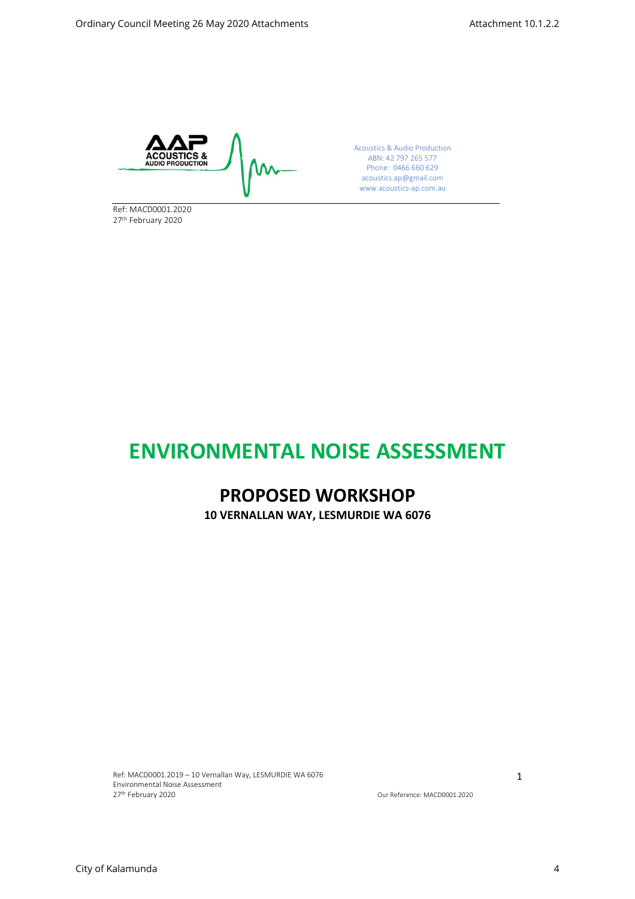

Ref: MACD0001.2020 27 th February 2020

Acoustics & Audio Production ABN: 42 797 265 577 Phone: 0466 660 629 acoustics.ap@gmail.com www.acoustics-ap.com.au

# **ENVIRONMENTAL NOISE ASSESSMENT**

## **PROPOSED WORKSHOP**

**10 VERNALLAN WAY, LESMURDIE WA 6076**

Ref: MACD0001.2019 – 10 Vernallan Way, LESMURDIE WA 6076 Environmental Noise Assessment<br>27<sup>th</sup> February 2020

1

Our Reference: MACD0001.2020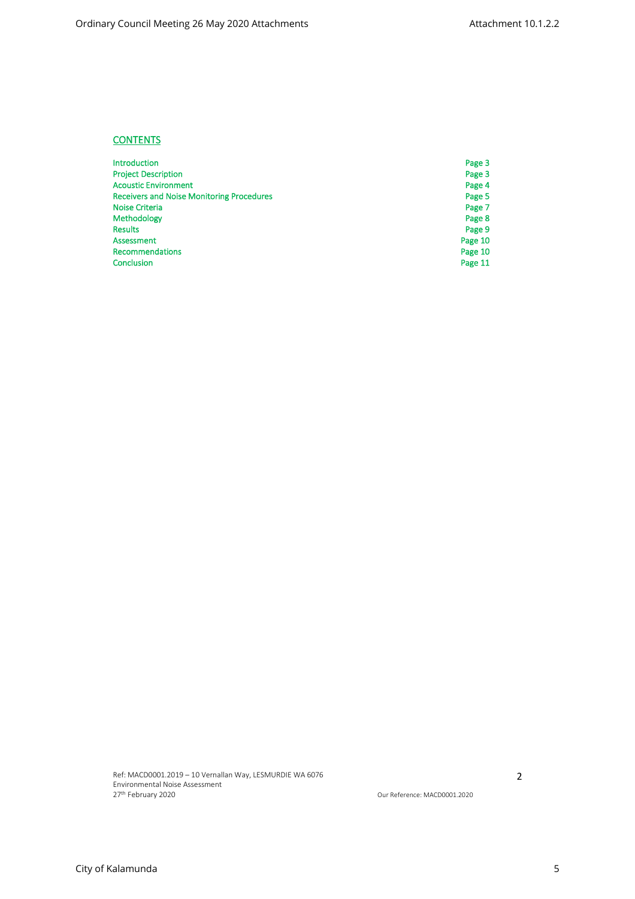## **CONTENTS**

| <b>Introduction</b>                              | Page 3  |
|--------------------------------------------------|---------|
| <b>Project Description</b>                       | Page 3  |
| <b>Acoustic Environment</b>                      | Page 4  |
| <b>Receivers and Noise Monitoring Procedures</b> | Page 5  |
| Noise Criteria                                   | Page 7  |
| <b>Methodology</b>                               | Page 8  |
| <b>Results</b>                                   | Page 9  |
| Assessment                                       | Page 10 |
| <b>Recommendations</b>                           | Page 10 |
| Conclusion                                       | Page 11 |

Ref: MACD0001.2019 – 10 Vernallan Way, LESMURDIE WA 6076 Environmental Noise Assessment 27th February 2020 Our Reference: MACD0001.2020 2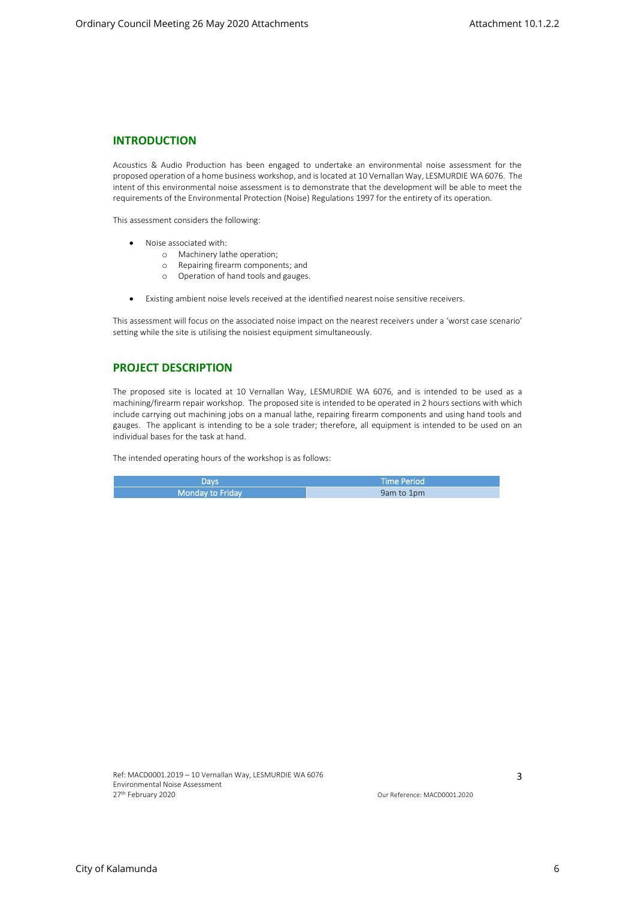#### **INTRODUCTION**

Acoustics & Audio Production has been engaged to undertake an environmental noise assessment for the proposed operation of a home business workshop, and is located at 10 Vernallan Way, LESMURDIE WA 6076. The intent of this environmental noise assessment is to demonstrate that the development will be able to meet the requirements of the Environmental Protection (Noise) Regulations 1997 for the entirety of its operation.

This assessment considers the following:

- Noise associated with:
	- o Machinery lathe operation;
	- o Repairing firearm components; and
	- o Operation of hand tools and gauges.
- Existing ambient noise levels received at the identified nearest noise sensitive receivers.

This assessment will focus on the associated noise impact on the nearest receivers under a 'worst case scenario' setting while the site is utilising the noisiest equipment simultaneously.

## **PROJECT DESCRIPTION**

The proposed site is located at 10 Vernallan Way, LESMURDIE WA 6076, and is intended to be used as a machining/firearm repair workshop. The proposed site is intended to be operated in 2 hours sections with which include carrying out machining jobs on a manual lathe, repairing firearm components and using hand tools and gauges. The applicant is intending to be a sole trader; therefore, all equipment is intended to be used on an individual bases for the task at hand.

The intended operating hours of the workshop is as follows:

| Davsı            | <b>Nime Period</b> |
|------------------|--------------------|
| Monday to Friday | 9am to 1pm         |

3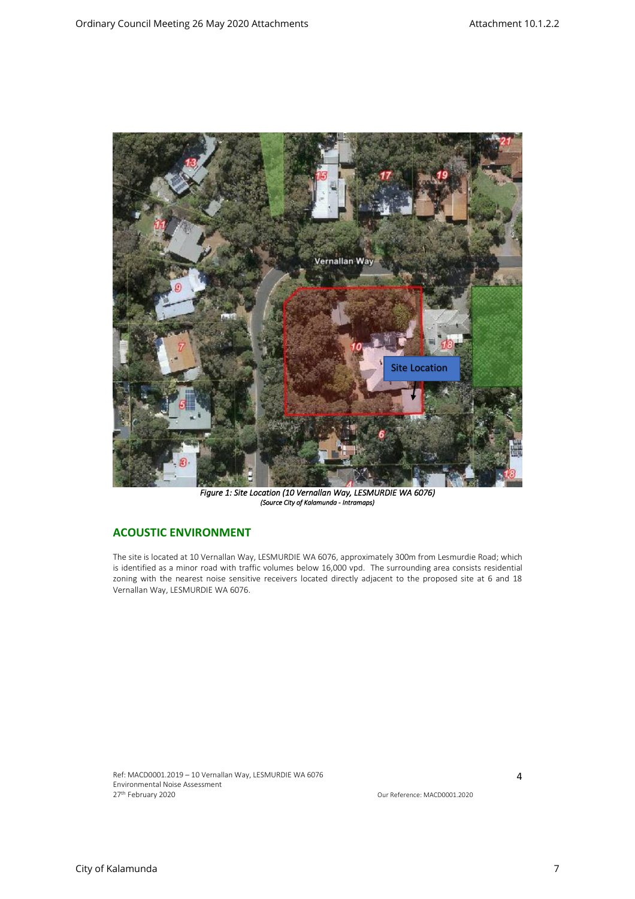

*Figure 1: Site Location (10 Vernallan Way, LESMURDIE WA 6076) (Source City of Kalamunda - Intramaps)*

## **ACOUSTIC ENVIRONMENT**

The site is located at 10 Vernallan Way, LESMURDIE WA 6076, approximately 300m from Lesmurdie Road; which is identified as a minor road with traffic volumes below 16,000 vpd. The surrounding area consists residential zoning with the nearest noise sensitive receivers located directly adjacent to the proposed site at 6 and 18 Vernallan Way, LESMURDIE WA 6076.

Ref: MACD0001.2019 – 10 Vernallan Way, LESMURDIE WA 6076 Environmental Noise Assessment<br>27<sup>th</sup> February 2020

4

Our Reference: MACD0001.2020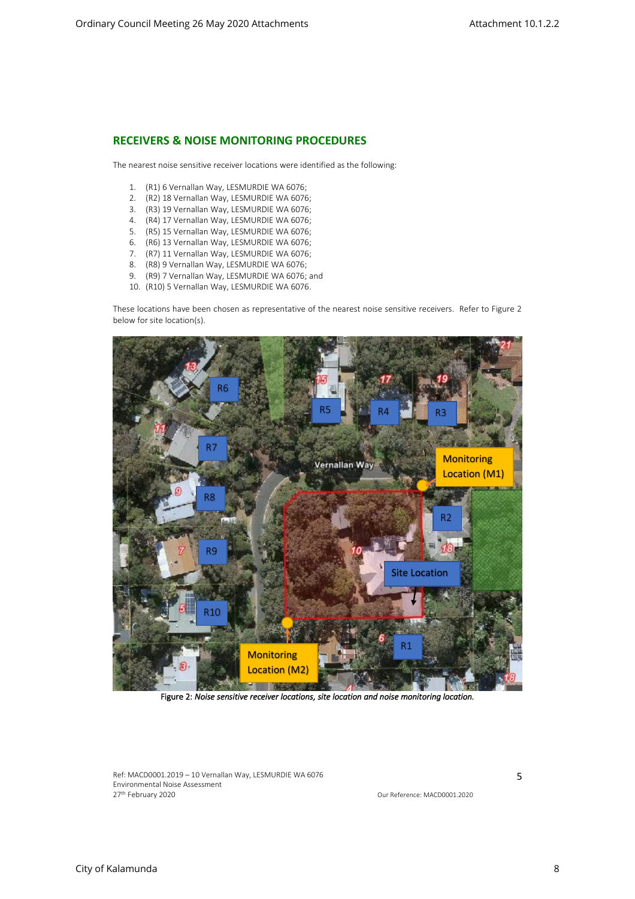## **RECEIVERS & NOISE MONITORING PROCEDURES**

The nearest noise sensitive receiver locations were identified as the following:

- 1. (R1) 6 Vernallan Way, LESMURDIE WA 6076;
- 2. (R2) 18 Vernallan Way, LESMURDIE WA 6076;
- 3. (R3) 19 Vernallan Way, LESMURDIE WA 6076;
- 4. (R4) 17 Vernallan Way, LESMURDIE WA 6076;
- 5. (R5) 15 Vernallan Way, LESMURDIE WA 6076;
- 6. (R6) 13 Vernallan Way, LESMURDIE WA 6076;
- 7. (R7) 11 Vernallan Way, LESMURDIE WA 6076;
- 8. (R8) 9 Vernallan Way, LESMURDIE WA 6076;
- 9. (R9) 7 Vernallan Way, LESMURDIE WA 6076; and
- 10. (R10) 5 Vernallan Way, LESMURDIE WA 6076.

These locations have been chosen as representative of the nearest noise sensitive receivers. Refer to Figure 2 below for site location(s).



Figure 2: *Noise sensitive receiver locations, site location and noise monitoring location.* 

Ref: MACD0001.2019 – 10 Vernallan Way, LESMURDIE WA 6076 Environmental Noise Assessment<br>27<sup>th</sup> February 2020

5

Our Reference: MACD0001.2020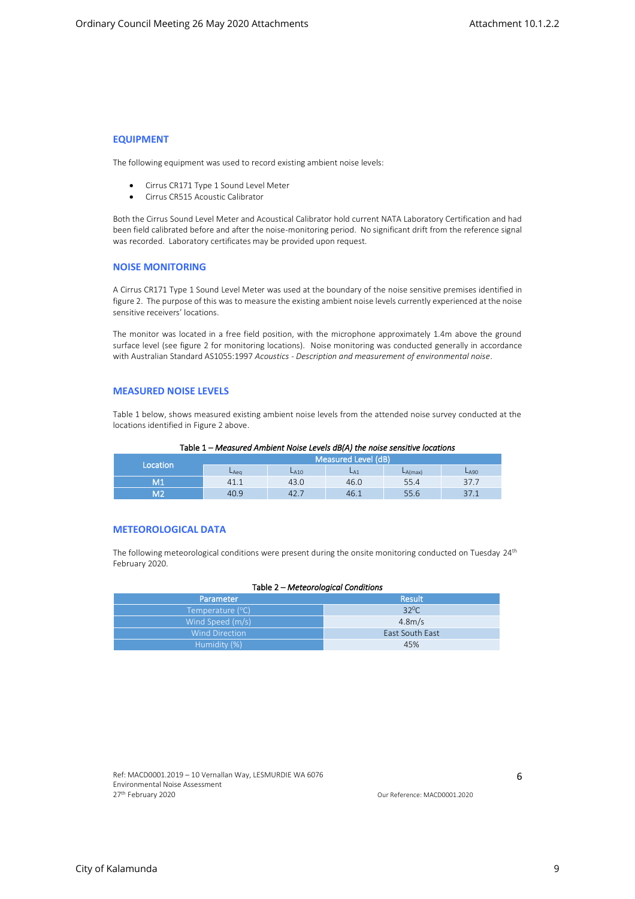## **EQUIPMENT**

The following equipment was used to record existing ambient noise levels:

- Cirrus CR171 Type 1 Sound Level Meter
- Cirrus CR515 Acoustic Calibrator

Both the Cirrus Sound Level Meter and Acoustical Calibrator hold current NATA Laboratory Certification and had been field calibrated before and after the noise-monitoring period. No significant drift from the reference signal was recorded. Laboratory certificates may be provided upon request.

#### **NOISE MONITORING**

A Cirrus CR171 Type 1 Sound Level Meter was used at the boundary of the noise sensitive premises identified in figure 2. The purpose of this was to measure the existing ambient noise levels currently experienced at the noise sensitive receivers' locations.

The monitor was located in a free field position, with the microphone approximately 1.4m above the ground surface level (see figure 2 for monitoring locations). Noise monitoring was conducted generally in accordance with Australian Standard AS1055:1997 *Acoustics - Description and measurement of environmental noise*.

## **MEASURED NOISE LEVELS**

Table 1 below, shows measured existing ambient noise levels from the attended noise survey conducted at the locations identified in Figure 2 above.

|          | Measured Level (dB) |           |      |         |      |
|----------|---------------------|-----------|------|---------|------|
| Location | LAea                | $L_{A10}$ | LA1  | LA(max) | LA90 |
| М1       | 41.1                | 43.0      | 46.0 | 55.4    | 37.7 |
| М2       | 40.9                | 42.       | 46.1 | 55.6    |      |

#### **METEOROLOGICAL DATA**

The following meteorological conditions were present during the onsite monitoring conducted on Tuesday 24<sup>th</sup> February 2020.

#### Table 2 – *Meteorological Conditions*

| Parameter             | Result             |
|-----------------------|--------------------|
| Temperature (°C)      | $32^{\circ}$ C     |
| Wind Speed (m/s)      | 4.8 <sub>m/s</sub> |
| <b>Wind Direction</b> | East South East    |
| Humidity (%)          | 45%                |

Ref: MACD0001.2019 – 10 Vernallan Way, LESMURDIE WA 6076 Environmental Noise Assessment<br>27<sup>th</sup> February 2020

6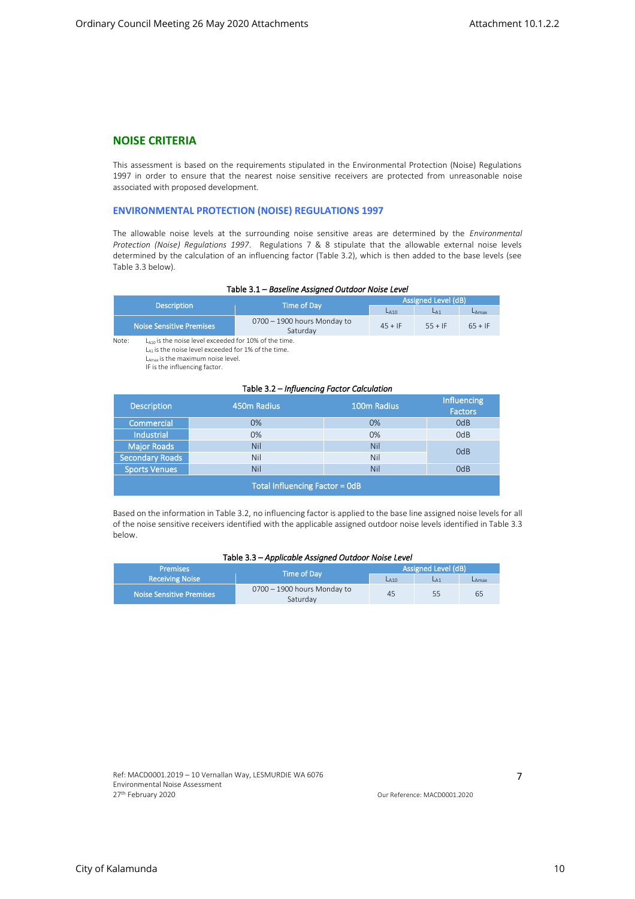## **NOISE CRITERIA**

This assessment is based on the requirements stipulated in the Environmental Protection (Noise) Regulations 1997 in order to ensure that the nearest noise sensitive receivers are protected from unreasonable noise associated with proposed development.

### **ENVIRONMENTAL PROTECTION (NOISE) REGULATIONS 1997**

The allowable noise levels at the surrounding noise sensitive areas are determined by the *Environmental Protection (Noise) Regulations 1997*. Regulations 7 & 8 stipulate that the allowable external noise levels determined by the calculation of an influencing factor (Table 3.2), which is then added to the base levels (see Table 3.3 below).

| Table 3.1 - Baseline Assigned Outdoor Noise Level |  |  |  |  |  |
|---------------------------------------------------|--|--|--|--|--|
|---------------------------------------------------|--|--|--|--|--|

| <b>Description</b>       | Time of Dav                             | Assigned Level (dB) |           |                 |  |
|--------------------------|-----------------------------------------|---------------------|-----------|-----------------|--|
|                          |                                         | LA10                | LA1       | $L_{\rm A max}$ |  |
| Noise Sensitive Premises | 0700 - 1900 hours Monday to<br>Saturday | $45 + 1F$           | $55 + 1F$ | $65 + IF$       |  |

Note: LA10 is the noise level exceeded for 10% of the time.

L<sub>A1</sub> is the noise level exceeded for 1% of the time.

LAmax is the maximum noise level.

IF is the influencing factor.

#### Table 3.2 – *Influencing Factor Calculation*

| <b>Description</b>                    | 450m Radius | 100m Radius | Influencing<br><b>Factors</b> |
|---------------------------------------|-------------|-------------|-------------------------------|
| Commercial                            | 0%          | 0%          | OdB                           |
| Industrial                            | 0%          | 0%          | OdB                           |
| <b>Major Roads</b>                    | Nil         | Nil         | OdB                           |
| <b>Secondary Roads</b>                | Nil         | Nil         |                               |
| <b>Sports Venues</b>                  | Nil         | Nil         | OdB                           |
| <b>Total Influencing Factor = OdB</b> |             |             |                               |

Based on the information in Table 3.2, no influencing factor is applied to the base line assigned noise levels for all of the noise sensitive receivers identified with the applicable assigned outdoor noise levels identified in Table 3.3 below.

#### Table 3.3 – *Applicable Assigned Outdoor Noise Level*

| <b>Premises</b>          | Time of Day                             | Assigned Level (dB) |     |          |  |
|--------------------------|-----------------------------------------|---------------------|-----|----------|--|
| <b>Receiving Noise</b>   |                                         | LA10                | LA1 | $L$ Amax |  |
| Noise Sensitive Premises | 0700 - 1900 hours Monday to<br>Saturdav | 45                  | 55  | 65       |  |

Ref: MACD0001.2019 – 10 Vernallan Way, LESMURDIE WA 6076 Environmental Noise Assessment<br>27<sup>th</sup> February 2020

7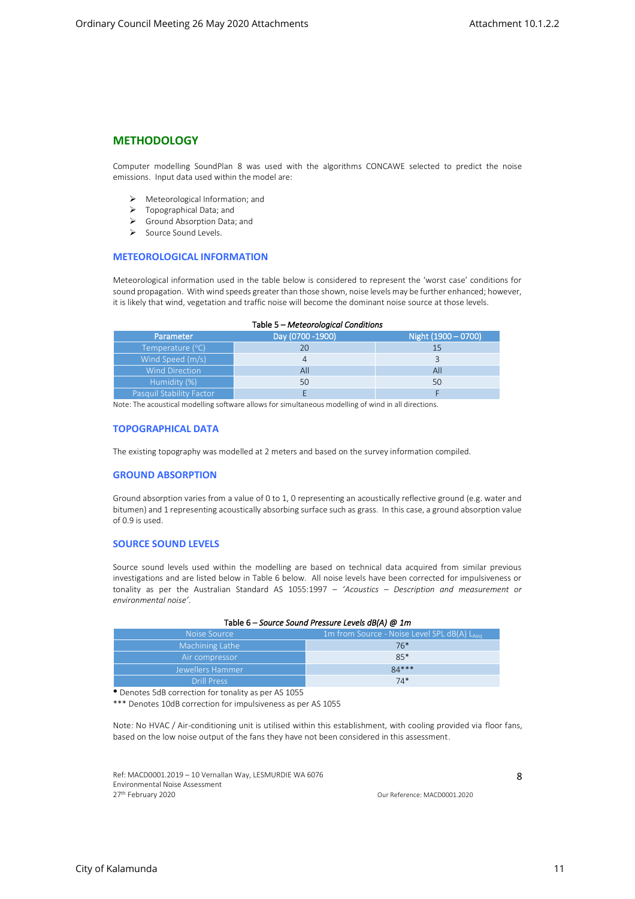## **METHODOLOGY**

Computer modelling SoundPlan 8 was used with the algorithms CONCAWE selected to predict the noise emissions. Input data used within the model are:

- ➢ Meteorological Information; and
- ➢ Topographical Data; and
- ➢ Ground Absorption Data; and
- ➢ Source Sound Levels.

#### **METEOROLOGICAL INFORMATION**

Meteorological information used in the table below is considered to represent the 'worst case' conditions for sound propagation. With wind speeds greater than those shown, noise levels may be further enhanced; however, it is likely that wind, vegetation and traffic noise will become the dominant noise source at those levels.

#### Table 5 – *Meteorological Conditions*

| Parameter                | Day (0700 - 1900) | Night (1900 - 0700) |
|--------------------------|-------------------|---------------------|
| Temperature (°C)         |                   |                     |
| Wind Speed (m/s)         |                   |                     |
| <b>Wind Direction</b>    | All               | All                 |
| Humidity (%)             | 50                | 50                  |
| Pasquil Stability Factor |                   |                     |

Note: The acoustical modelling software allows for simultaneous modelling of wind in all directions.

#### **TOPOGRAPHICAL DATA**

The existing topography was modelled at 2 meters and based on the survey information compiled.

#### **GROUND ABSORPTION**

Ground absorption varies from a value of 0 to 1, 0 representing an acoustically reflective ground (e.g. water and bitumen) and 1 representing acoustically absorbing surface such as grass. In this case, a ground absorption value of 0.9 is used.

## **SOURCE SOUND LEVELS**

Source sound levels used within the modelling are based on technical data acquired from similar previous investigations and are listed below in Table 6 below. All noise levels have been corrected for impulsiveness or tonality as per the Australian Standard AS 1055:1997 – *'Acoustics – Description and measurement or environmental noise'*.

| Noise Source       | 1m from Source - Noise Level SPL dB(A) LAeg |
|--------------------|---------------------------------------------|
| Machining Lathe    | $76*$                                       |
| Air compressor     | $85*$                                       |
| Jewellers Hammer   | $84***$                                     |
| <b>Drill Press</b> | $74*$                                       |

\* Denotes 5dB correction for tonality as per AS 1055

\*\*\* Denotes 10dB correction for impulsiveness as per AS 1055

Note: No HVAC / Air-conditioning unit is utilised within this establishment, with cooling provided via floor fans, based on the low noise output of the fans they have not been considered in this assessment.

Ref: MACD0001.2019 – 10 Vernallan Way, LESMURDIE WA 6076 Environmental Noise Assessment<br>27<sup>th</sup> February 2020

8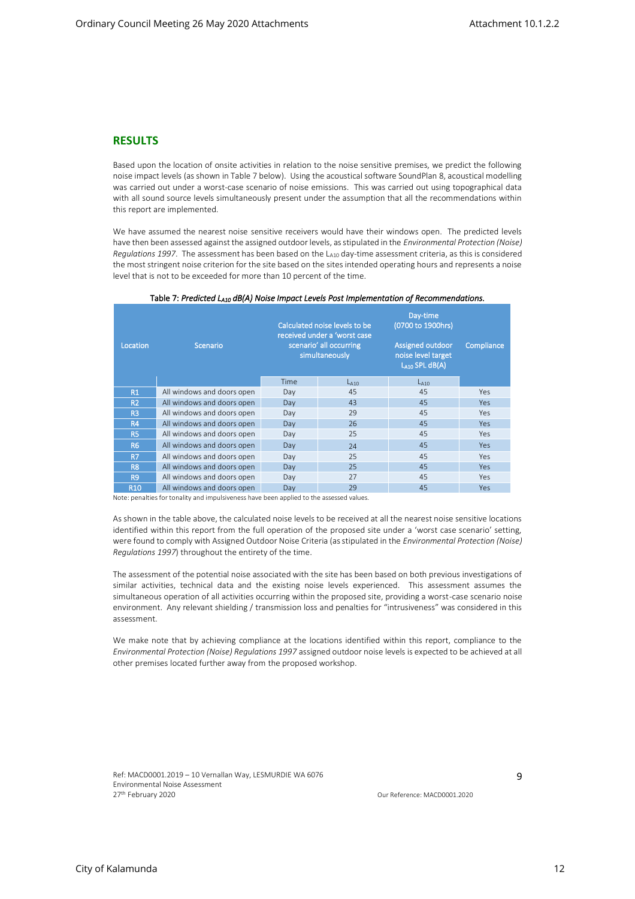## **RESULTS**

Based upon the location of onsite activities in relation to the noise sensitive premises, we predict the following noise impact levels (as shown in Table 7 below). Using the acoustical software SoundPlan 8, acoustical modelling was carried out under a worst-case scenario of noise emissions. This was carried out using topographical data with all sound source levels simultaneously present under the assumption that all the recommendations within this report are implemented.

We have assumed the nearest noise sensitive receivers would have their windows open. The predicted levels have then been assessed against the assigned outdoor levels, as stipulated in the *Environmental Protection (Noise) Regulations 1997*. The assessment has been based on the L<sub>A10</sub> day-time assessment criteria, as this is considered the most stringent noise criterion for the site based on the sites intended operating hours and represents a noise level that is not to be exceeded for more than 10 percent of the time.

| Location       | Scenario                   | Calculated noise levels to be<br>received under a 'worst case<br>scenario' all occurring<br>simultaneously |           | Day-time<br>(0700 to 1900hrs)<br><b>Assigned outdoor</b><br>noise level target<br>LA10 SPL dB(A) | Compliance |
|----------------|----------------------------|------------------------------------------------------------------------------------------------------------|-----------|--------------------------------------------------------------------------------------------------|------------|
|                |                            | Time                                                                                                       | $L_{A10}$ | $L_{A10}$                                                                                        |            |
| R1             | All windows and doors open | Day                                                                                                        | 45        | 45                                                                                               | <b>Yes</b> |
| R <sub>2</sub> | All windows and doors open | Day                                                                                                        | 43        | 45                                                                                               | Yes.       |
| R <sub>3</sub> | All windows and doors open | Day                                                                                                        | 29        | 45                                                                                               | Yes        |
| <b>R4</b>      | All windows and doors open | Day                                                                                                        | 26        | 45                                                                                               | <b>Yes</b> |
| <b>R5</b>      | All windows and doors open | Day                                                                                                        | 25        | 45                                                                                               | <b>Yes</b> |
| <b>R6</b>      | All windows and doors open | Day                                                                                                        | 24        | 45                                                                                               | <b>Yes</b> |
| R7             | All windows and doors open | Day                                                                                                        | 25        | 45                                                                                               | <b>Yes</b> |
| R <sub>8</sub> | All windows and doors open | Day                                                                                                        | 25        | 45                                                                                               | Yes        |
| R <sub>9</sub> | All windows and doors open | Day                                                                                                        | 27        | 45                                                                                               | <b>Yes</b> |
| R10            | All windows and doors open | Day                                                                                                        | 29        | 45                                                                                               | <b>Yes</b> |

Note: penalties for tonality and impulsiveness have been applied to the assessed values.

As shown in the table above, the calculated noise levels to be received at all the nearest noise sensitive locations identified within this report from the full operation of the proposed site under a 'worst case scenario' setting, were found to comply with Assigned Outdoor Noise Criteria (as stipulated in the *Environmental Protection (Noise) Regulations 1997*) throughout the entirety of the time.

The assessment of the potential noise associated with the site has been based on both previous investigations of similar activities, technical data and the existing noise levels experienced. This assessment assumes the simultaneous operation of all activities occurring within the proposed site, providing a worst-case scenario noise environment. Any relevant shielding / transmission loss and penalties for "intrusiveness" was considered in this assessment.

We make note that by achieving compliance at the locations identified within this report, compliance to the *Environmental Protection (Noise) Regulations 1997* assigned outdoor noise levels is expected to be achieved at all other premises located further away from the proposed workshop.

Ref: MACD0001.2019 – 10 Vernallan Way, LESMURDIE WA 6076 Environmental Noise Assessment<br>27<sup>th</sup> February 2020

9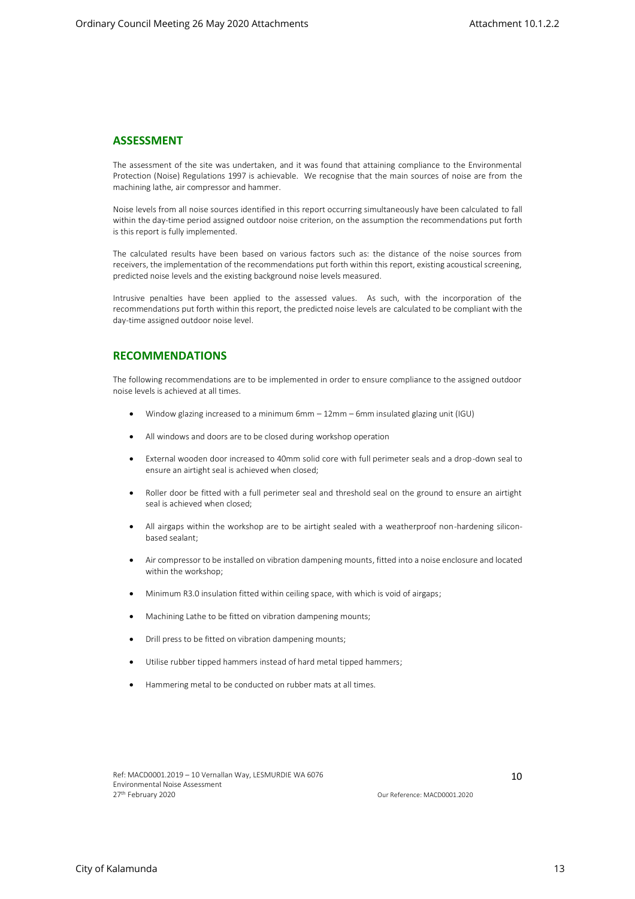## **ASSESSMENT**

The assessment of the site was undertaken, and it was found that attaining compliance to the Environmental Protection (Noise) Regulations 1997 is achievable. We recognise that the main sources of noise are from the machining lathe, air compressor and hammer.

Noise levels from all noise sources identified in this report occurring simultaneously have been calculated to fall within the day-time period assigned outdoor noise criterion, on the assumption the recommendations put forth is this report is fully implemented.

The calculated results have been based on various factors such as: the distance of the noise sources from receivers, the implementation of the recommendations put forth within this report, existing acoustical screening, predicted noise levels and the existing background noise levels measured.

Intrusive penalties have been applied to the assessed values. As such, with the incorporation of the recommendations put forth within this report, the predicted noise levels are calculated to be compliant with the day-time assigned outdoor noise level.

## **RECOMMENDATIONS**

The following recommendations are to be implemented in order to ensure compliance to the assigned outdoor noise levels is achieved at all times.

- Window glazing increased to a minimum 6mm 12mm 6mm insulated glazing unit (IGU)
- All windows and doors are to be closed during workshop operation
- External wooden door increased to 40mm solid core with full perimeter seals and a drop-down seal to ensure an airtight seal is achieved when closed;
- Roller door be fitted with a full perimeter seal and threshold seal on the ground to ensure an airtight seal is achieved when closed;
- All airgaps within the workshop are to be airtight sealed with a weatherproof non-hardening siliconbased sealant;
- Air compressor to be installed on vibration dampening mounts, fitted into a noise enclosure and located within the workshop;
- Minimum R3.0 insulation fitted within ceiling space, with which is void of airgaps;
- Machining Lathe to be fitted on vibration dampening mounts;
- Drill press to be fitted on vibration dampening mounts;
- Utilise rubber tipped hammers instead of hard metal tipped hammers;
- Hammering metal to be conducted on rubber mats at all times.

10